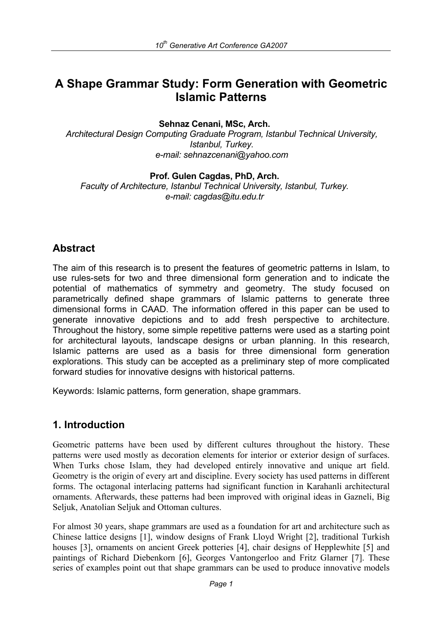# **A Shape Grammar Study: Form Generation with Geometric Islamic Patterns**

**Sehnaz Cenani, MSc, Arch.** 

*Architectural Design Computing Graduate Program, Istanbul Technical University, Istanbul, Turkey. e-mail: sehnazcenani@yahoo.com* 

**Prof. Gulen Cagdas, PhD, Arch.** 

*Faculty of Architecture, Istanbul Technical University, Istanbul, Turkey. e-mail: cagdas@itu.edu.tr* 

# **Abstract**

The aim of this research is to present the features of geometric patterns in Islam, to use rules-sets for two and three dimensional form generation and to indicate the potential of mathematics of symmetry and geometry. The study focused on parametrically defined shape grammars of Islamic patterns to generate three dimensional forms in CAAD. The information offered in this paper can be used to generate innovative depictions and to add fresh perspective to architecture. Throughout the history, some simple repetitive patterns were used as a starting point for architectural layouts, landscape designs or urban planning. In this research, Islamic patterns are used as a basis for three dimensional form generation explorations. This study can be accepted as a preliminary step of more complicated forward studies for innovative designs with historical patterns.

Keywords: Islamic patterns, form generation, shape grammars.

### **1. Introduction**

Geometric patterns have been used by different cultures throughout the history. These patterns were used mostly as decoration elements for interior or exterior design of surfaces. When Turks chose Islam, they had developed entirely innovative and unique art field. Geometry is the origin of every art and discipline. Every society has used patterns in different forms. The octagonal interlacing patterns had significant function in Karahanli architectural ornaments. Afterwards, these patterns had been improved with original ideas in Gazneli, Big Seljuk, Anatolian Seljuk and Ottoman cultures.

For almost 30 years, shape grammars are used as a foundation for art and architecture such as Chinese lattice designs [1], window designs of Frank Lloyd Wright [2], traditional Turkish houses [3], ornaments on ancient Greek potteries [4], chair designs of Hepplewhite [5] and paintings of Richard Diebenkorn [6], Georges Vantongerloo and Fritz Glarner [7]. These series of examples point out that shape grammars can be used to produce innovative models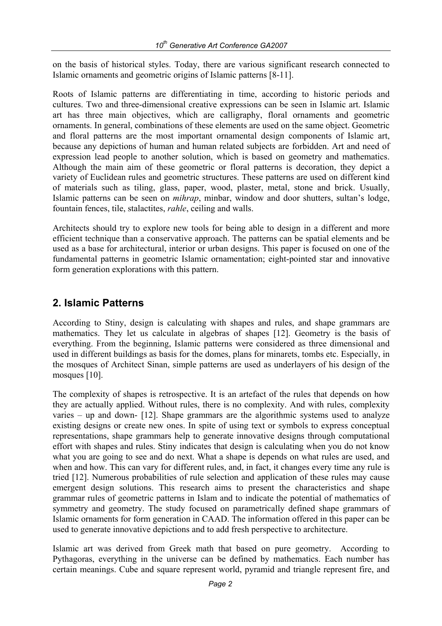on the basis of historical styles. Today, there are various significant research connected to Islamic ornaments and geometric origins of Islamic patterns [8-11].

Roots of Islamic patterns are differentiating in time, according to historic periods and cultures. Two and three-dimensional creative expressions can be seen in Islamic art. Islamic art has three main objectives, which are calligraphy, floral ornaments and geometric ornaments. In general, combinations of these elements are used on the same object. Geometric and floral patterns are the most important ornamental design components of Islamic art, because any depictions of human and human related subjects are forbidden. Art and need of expression lead people to another solution, which is based on geometry and mathematics. Although the main aim of these geometric or floral patterns is decoration, they depict a variety of Euclidean rules and geometric structures. These patterns are used on different kind of materials such as tiling, glass, paper, wood, plaster, metal, stone and brick. Usually, Islamic patterns can be seen on *mihrap*, minbar, window and door shutters, sultan's lodge, fountain fences, tile, stalactites, *rahle*, ceiling and walls.

Architects should try to explore new tools for being able to design in a different and more efficient technique than a conservative approach. The patterns can be spatial elements and be used as a base for architectural, interior or urban designs. This paper is focused on one of the fundamental patterns in geometric Islamic ornamentation; eight-pointed star and innovative form generation explorations with this pattern.

### **2. Islamic Patterns**

According to Stiny, design is calculating with shapes and rules, and shape grammars are mathematics. They let us calculate in algebras of shapes [12]. Geometry is the basis of everything. From the beginning, Islamic patterns were considered as three dimensional and used in different buildings as basis for the domes, plans for minarets, tombs etc. Especially, in the mosques of Architect Sinan, simple patterns are used as underlayers of his design of the mosques [10].

The complexity of shapes is retrospective. It is an artefact of the rules that depends on how they are actually applied. Without rules, there is no complexity. And with rules, complexity varies – up and down- [12]. Shape grammars are the algorithmic systems used to analyze existing designs or create new ones. In spite of using text or symbols to express conceptual representations, shape grammars help to generate innovative designs through computational effort with shapes and rules. Stiny indicates that design is calculating when you do not know what you are going to see and do next. What a shape is depends on what rules are used, and when and how. This can vary for different rules, and, in fact, it changes every time any rule is tried [12]. Numerous probabilities of rule selection and application of these rules may cause emergent design solutions. This research aims to present the characteristics and shape grammar rules of geometric patterns in Islam and to indicate the potential of mathematics of symmetry and geometry. The study focused on parametrically defined shape grammars of Islamic ornaments for form generation in CAAD. The information offered in this paper can be used to generate innovative depictions and to add fresh perspective to architecture.

Islamic art was derived from Greek math that based on pure geometry. According to Pythagoras, everything in the universe can be defined by mathematics. Each number has certain meanings. Cube and square represent world, pyramid and triangle represent fire, and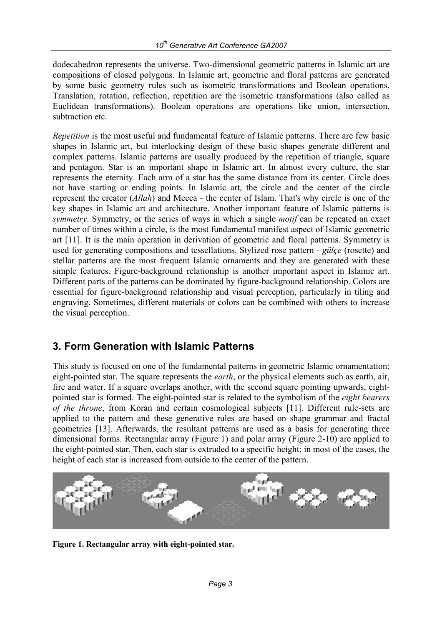dodecahedron represents the universe. Two-dimensional geometric patterns in Islamic art are compositions of closed polygons. In Islamic art, geometric and floral patterns are generated by some basic geometry rules such as isometric transformations and Boolean operations. Translation, rotation, reflection, repetition are the isometric transformations (also called as Euclidean transformations). Boolean operations are operations like union, intersection, subtraction etc.

*Repetition* is the most useful and fundamental feature of Islamic patterns. There are few basic shapes in Islamic art, but interlocking design of these basic shapes generate different and complex patterns. Islamic patterns are usually produced by the repetition of triangle, square and pentagon. Star is an important shape in Islamic art. In almost every culture, the star represents the eternity. Each arm of a star has the same distance from its center. Circle does not have starting or ending points. In Islamic art, the circle and the center of the circle represent the creator (*Allah*) and Mecca - the center of Islam. That's why circle is one of the key shapes in Islamic art and architecture. Another important feature of Islamic patterns is *symmetry*. Symmetry, or the series of ways in which a single *motif* can be repeated an exact number of times within a circle, is the most fundamental manifest aspect of Islamic geometric art [11]. It is the main operation in derivation of geometric and floral patterns. Symmetry is used for generating compositions and tessellations. Stylized rose pattern - *gülçe* (rosette) and stellar patterns are the most frequent Islamic ornaments and they are generated with these simple features. Figure-background relationship is another important aspect in Islamic art. Different parts of the patterns can be dominated by figure-background relationship. Colors are essential for figure-background relationship and visual perception, particularly in tiling and engraving. Sometimes, different materials or colors can be combined with others to increase the visual perception.

### **3. Form Generation with Islamic Patterns**

This study is focused on one of the fundamental patterns in geometric Islamic ornamentation; eight-pointed star. The square represents the *earth*, or the physical elements such as earth, air, fire and water. If a square overlaps another, with the second square pointing upwards, eightpointed star is formed. The eight-pointed star is related to the symbolism of the *eight bearers of the throne*, from Koran and certain cosmological subjects [11]. Different rule-sets are applied to the pattern and these generative rules are based on shape grammar and fractal geometries [13]. Afterwards, the resultant patterns are used as a basis for generating three dimensional forms. Rectangular array (Figure 1) and polar array (Figure 2-10) are applied to the eight-pointed star. Then, each star is extruded to a specific height; in most of the cases, the height of each star is increased from outside to the center of the pattern.



**Figure 1. Rectangular array with eight-pointed star.**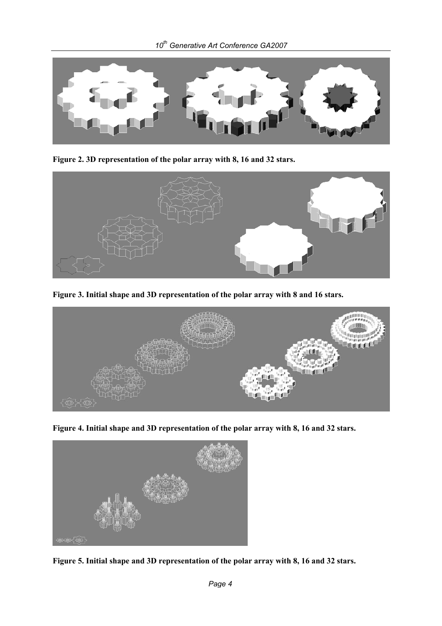

**Figure 2. 3D representation of the polar array with 8, 16 and 32 stars.**



**Figure 3. Initial shape and 3D representation of the polar array with 8 and 16 stars.**



**Figure 4. Initial shape and 3D representation of the polar array with 8, 16 and 32 stars.**



**Figure 5. Initial shape and 3D representation of the polar array with 8, 16 and 32 stars.**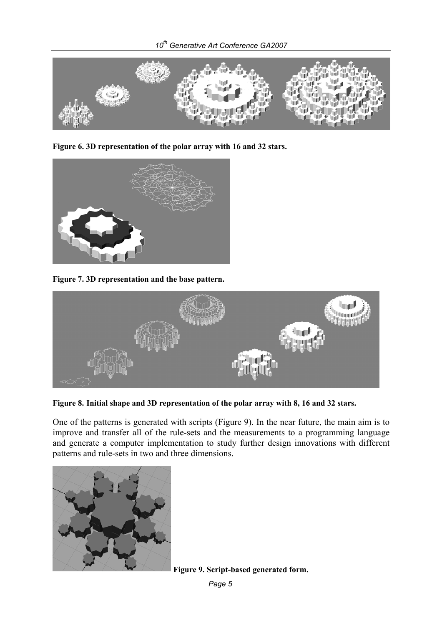

**Figure 6. 3D representation of the polar array with 16 and 32 stars.**



**Figure 7. 3D representation and the base pattern.**



**Figure 8. Initial shape and 3D representation of the polar array with 8, 16 and 32 stars.** 

One of the patterns is generated with scripts (Figure 9). In the near future, the main aim is to improve and transfer all of the rule-sets and the measurements to a programming language and generate a computer implementation to study further design innovations with different patterns and rule-sets in two and three dimensions.



**Figure 9. Script-based generated form.**

*Page 5*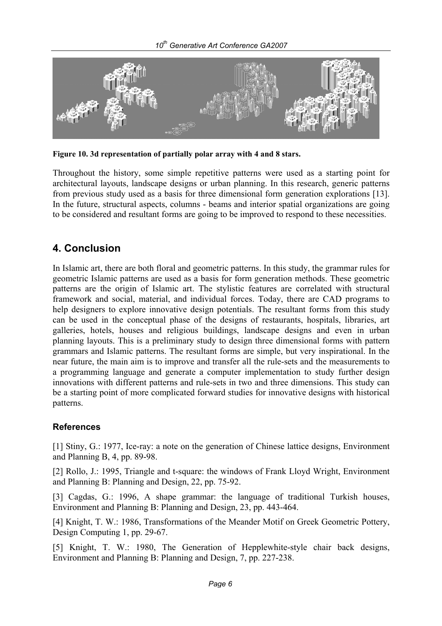*10th Generative Art Conference GA2007* 



**Figure 10. 3d representation of partially polar array with 4 and 8 stars.** 

Throughout the history, some simple repetitive patterns were used as a starting point for architectural layouts, landscape designs or urban planning. In this research, generic patterns from previous study used as a basis for three dimensional form generation explorations [13]. In the future, structural aspects, columns - beams and interior spatial organizations are going to be considered and resultant forms are going to be improved to respond to these necessities.

# **4. Conclusion**

In Islamic art, there are both floral and geometric patterns. In this study, the grammar rules for geometric Islamic patterns are used as a basis for form generation methods. These geometric patterns are the origin of Islamic art. The stylistic features are correlated with structural framework and social, material, and individual forces. Today, there are CAD programs to help designers to explore innovative design potentials. The resultant forms from this study can be used in the conceptual phase of the designs of restaurants, hospitals, libraries, art galleries, hotels, houses and religious buildings, landscape designs and even in urban planning layouts. This is a preliminary study to design three dimensional forms with pattern grammars and Islamic patterns. The resultant forms are simple, but very inspirational. In the near future, the main aim is to improve and transfer all the rule-sets and the measurements to a programming language and generate a computer implementation to study further design innovations with different patterns and rule-sets in two and three dimensions. This study can be a starting point of more complicated forward studies for innovative designs with historical patterns.

#### **References**

[1] Stiny, G.: 1977, Ice-ray: a note on the generation of Chinese lattice designs, Environment and Planning B, 4, pp. 89-98.

[2] Rollo, J.: 1995, Triangle and t-square: the windows of Frank Lloyd Wright, Environment and Planning B: Planning and Design, 22, pp. 75-92.

[3] Cagdas, G.: 1996, A shape grammar: the language of traditional Turkish houses, Environment and Planning B: Planning and Design, 23, pp. 443-464.

[4] Knight, T. W.: 1986, Transformations of the Meander Motif on Greek Geometric Pottery, Design Computing 1, pp. 29-67.

[5] Knight, T. W.: 1980, The Generation of Hepplewhite-style chair back designs, Environment and Planning B: Planning and Design, 7, pp. 227-238.